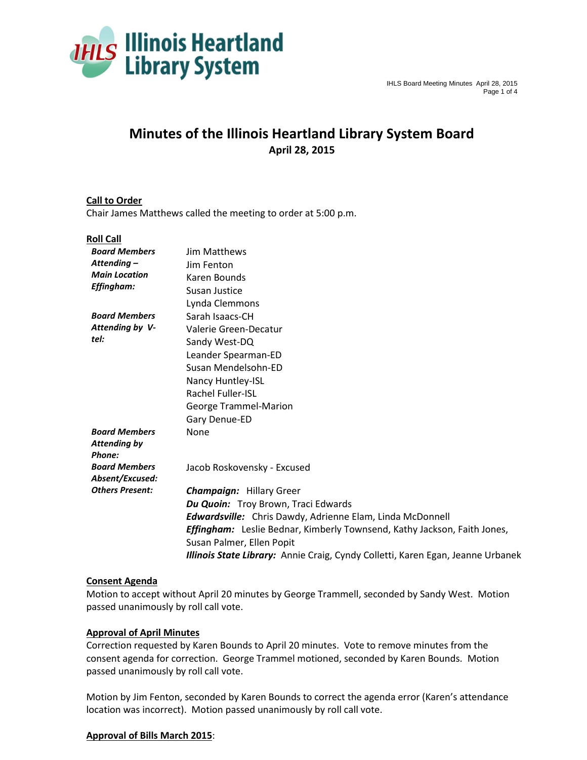

# **Minutes of the Illinois Heartland Library System Board April 28, 2015**

# **Call to Order**

Chair James Matthews called the meeting to order at 5:00 p.m.

#### **Roll Call**

| <b>Board Members</b>                      | <b>Jim Matthews</b>                                                             |
|-------------------------------------------|---------------------------------------------------------------------------------|
| Attending-                                | Jim Fenton                                                                      |
| <b>Main Location</b><br><b>Effingham:</b> | Karen Bounds                                                                    |
|                                           | Susan Justice                                                                   |
|                                           | Lynda Clemmons                                                                  |
| <b>Board Members</b>                      | Sarah Isaacs-CH                                                                 |
| Attending by V-                           | Valerie Green-Decatur                                                           |
| tel:                                      | Sandy West-DQ                                                                   |
|                                           | Leander Spearman-ED                                                             |
|                                           | Susan Mendelsohn-ED                                                             |
|                                           | Nancy Huntley-ISL                                                               |
|                                           | <b>Rachel Fuller-ISL</b>                                                        |
|                                           | George Trammel-Marion                                                           |
|                                           | Gary Denue-ED                                                                   |
| <b>Board Members</b>                      | None                                                                            |
| <b>Attending by</b>                       |                                                                                 |
| Phone:                                    |                                                                                 |
| <b>Board Members</b>                      | Jacob Roskovensky - Excused                                                     |
| Absent/Excused:                           |                                                                                 |
| <b>Others Present:</b>                    | <b>Champaign: Hillary Greer</b>                                                 |
|                                           | <b>Du Quoin:</b> Troy Brown, Traci Edwards                                      |
|                                           | <b>Edwardsville:</b> Chris Dawdy, Adrienne Elam, Linda McDonnell                |
|                                           | <b>Effingham:</b> Leslie Bednar, Kimberly Townsend, Kathy Jackson, Faith Jones, |
|                                           | Susan Palmer, Ellen Popit                                                       |
|                                           | Illinois State Library: Annie Craig, Cyndy Colletti, Karen Egan, Jeanne Urbanek |

#### **Consent Agenda**

Motion to accept without April 20 minutes by George Trammell, seconded by Sandy West. Motion passed unanimously by roll call vote.

#### **Approval of April Minutes**

Correction requested by Karen Bounds to April 20 minutes. Vote to remove minutes from the consent agenda for correction. George Trammel motioned, seconded by Karen Bounds. Motion passed unanimously by roll call vote.

Motion by Jim Fenton, seconded by Karen Bounds to correct the agenda error (Karen's attendance location was incorrect). Motion passed unanimously by roll call vote.

## **Approval of Bills March 2015**: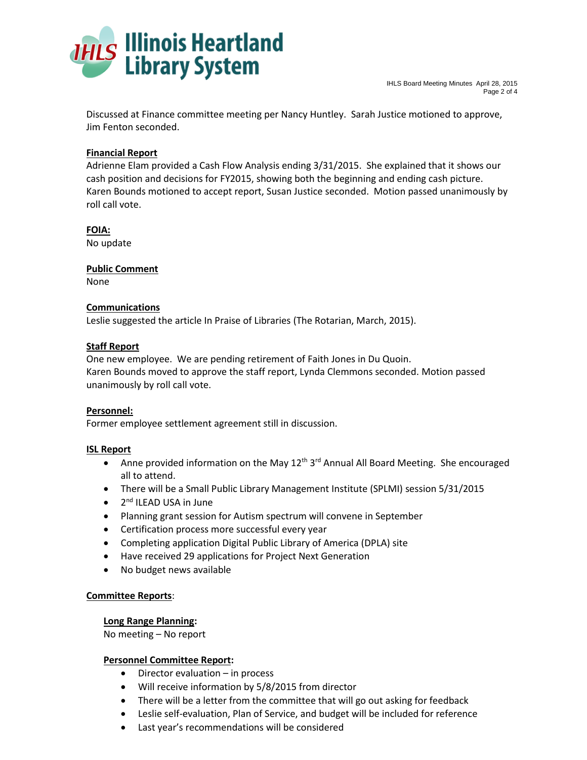

Discussed at Finance committee meeting per Nancy Huntley. Sarah Justice motioned to approve, Jim Fenton seconded.

# **Financial Report**

Adrienne Elam provided a Cash Flow Analysis ending 3/31/2015. She explained that it shows our cash position and decisions for FY2015, showing both the beginning and ending cash picture. Karen Bounds motioned to accept report, Susan Justice seconded. Motion passed unanimously by roll call vote.

**FOIA:**  No update

**Public Comment**

None

## **Communications**

Leslie suggested the article In Praise of Libraries (The Rotarian, March, 2015).

## **Staff Report**

One new employee. We are pending retirement of Faith Jones in Du Quoin. Karen Bounds moved to approve the staff report, Lynda Clemmons seconded. Motion passed unanimously by roll call vote.

## **Personnel:**

Former employee settlement agreement still in discussion.

## **ISL Report**

- Anne provided information on the May  $12<sup>th</sup> 3<sup>rd</sup>$  Annual All Board Meeting. She encouraged all to attend.
- There will be a Small Public Library Management Institute (SPLMI) session 5/31/2015
- 2<sup>nd</sup> ILEAD USA in June
- Planning grant session for Autism spectrum will convene in September
- Certification process more successful every year
- Completing application Digital Public Library of America (DPLA) site
- Have received 29 applications for Project Next Generation
- No budget news available

## **Committee Reports**:

## **Long Range Planning:**

No meeting – No report

## **Personnel Committee Report:**

- Director evaluation in process
- Will receive information by 5/8/2015 from director
- There will be a letter from the committee that will go out asking for feedback
- Leslie self-evaluation, Plan of Service, and budget will be included for reference
- Last year's recommendations will be considered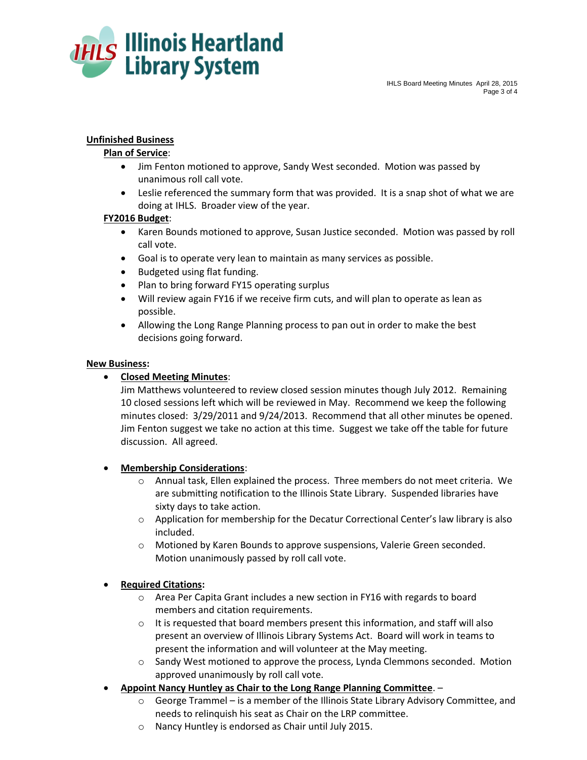

# **Unfinished Business**

#### **Plan of Service**:

- Jim Fenton motioned to approve, Sandy West seconded. Motion was passed by unanimous roll call vote.
- Leslie referenced the summary form that was provided. It is a snap shot of what we are doing at IHLS. Broader view of the year.

#### **FY2016 Budget**:

- Karen Bounds motioned to approve, Susan Justice seconded. Motion was passed by roll call vote.
- Goal is to operate very lean to maintain as many services as possible.
- Budgeted using flat funding.
- Plan to bring forward FY15 operating surplus
- Will review again FY16 if we receive firm cuts, and will plan to operate as lean as possible.
- Allowing the Long Range Planning process to pan out in order to make the best decisions going forward.

#### **New Business:**

# **Closed Meeting Minutes**:

Jim Matthews volunteered to review closed session minutes though July 2012. Remaining 10 closed sessions left which will be reviewed in May. Recommend we keep the following minutes closed: 3/29/2011 and 9/24/2013. Recommend that all other minutes be opened. Jim Fenton suggest we take no action at this time. Suggest we take off the table for future discussion. All agreed.

## **Membership Considerations**:

- o Annual task, Ellen explained the process. Three members do not meet criteria. We are submitting notification to the Illinois State Library. Suspended libraries have sixty days to take action.
- $\circ$  Application for membership for the Decatur Correctional Center's law library is also included.
- o Motioned by Karen Bounds to approve suspensions, Valerie Green seconded. Motion unanimously passed by roll call vote.

## **Required Citations:**

- o Area Per Capita Grant includes a new section in FY16 with regards to board members and citation requirements.
- o It is requested that board members present this information, and staff will also present an overview of Illinois Library Systems Act. Board will work in teams to present the information and will volunteer at the May meeting.
- o Sandy West motioned to approve the process, Lynda Clemmons seconded. Motion approved unanimously by roll call vote.
- **Appoint Nancy Huntley as Chair to the Long Range Planning Committee**.
	- $\circ$  George Trammel is a member of the Illinois State Library Advisory Committee, and needs to relinquish his seat as Chair on the LRP committee.
	- Nancy Huntley is endorsed as Chair until July 2015.